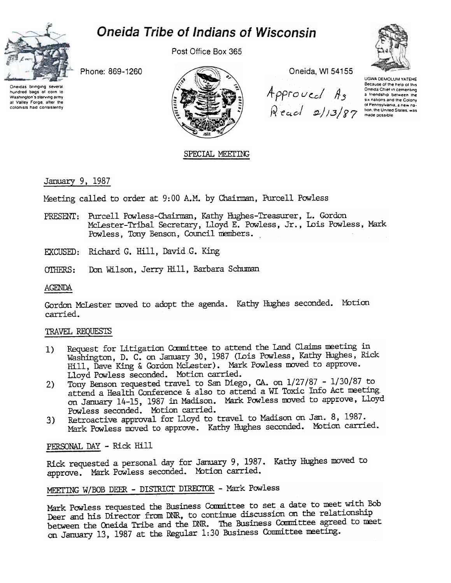# **Oneida Tribe of Indians of Wisconsin**



Post Office Box 365



Approved As <sup>of Pennsylvania, a new na-</sub><br>
Recicl 2/13/87 made possible</sup>

Oneida, WI 54155

UGWA DEMOLUM YATEHE Because of the help of this Oneida Chief in cementing a friendship between the<br>six nations and the Colony ol Pennsylvania, a new na-

Phone: 869-1260





SPECIAL MEETING

## January 9, 1987

Meeting called to order at 9:00 A.M. by Chairman, Purcell Powless

- Purcell Powless-Chairman, Kathy Hughes-Treasurer, L. Gordon PRESENT: McLester-Tribal Secretary, Lloyd E. Powless, Jr., Lois Powless, Mark Powless, Tony Benson, Council members.
- EXCUSED: Richard G. Hill, David G. King
- Don Wilson, Jerry Hill, Barbara Schuman OTHERS:

## **AGENDA**

Gordon McLester moved to adopt the agenda. Kathy Hughes seconded. Motion carried.

## TRAVEL REQUESTS

- Request for Litigation Committee to attend the Land Claims meeting in  $1)$ Washington, D. C. on January 30, 1987 (Lois Powless, Kathy Hughes, Rick Hill, Dave King & Gordon McLester). Mark Powless moved to approve. Lloyd Powless seconded. Motion carried.
- Tony Benson requested travel to San Diego, CA. on 1/27/87 1/30/87 to  $2)$ attend a Health Conference & also to attend a WI Toxic Info Act meeting on January 14-15, 1987 in Madison. Mark Powless moved to approve, Lloyd Powless seconded. Motion carried.
- Retroactive approval for Lloyd to travel to Madison on Jan. 8, 1987.  $3)$ Mark Powless moved to approve. Kathy Hughes seconded. Motion carried.

PERSONAL DAY - Rick Hill

Rick requested a personal day for January 9, 1987. Kathy Hughes moved to approve. Mark Powless seconded. Motion carried.

## MEETING W/BOB DEER - DISTRICT DIRECTOR - Mark Powless

Mark Powless requested the Business Committee to set a date to meet with Bob Deer and his Director from DNR, to continue discussion on the relationship between the Oneida Tribe and the DNR. The Business Committee agreed to meet on January 13, 1987 at the Regular 1:30 Business Committee meeting.

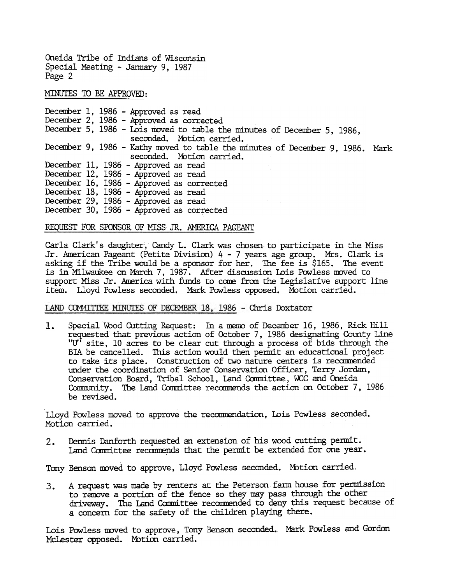Oneida Tribe of Indians of Wisconsin Special Meeting - January 9, 1987 Page 2

MINUTES TO BE APPROVED:

December 9, 1986 – Kathy moved to table the minutes of December 9, 1986. Mark December 1, 1986 -Approved as read December 2, 1986 - Approved as corrected December 5, 1986 - Lois moved to table the minutes of December 5, 1986, seconded. Motion carried. seconded. Motion carried. December 11, 1986 - Approved as read December 12, 1986 - Approved as read December 16, 1986 - Approved as corrected December 18, 1986 - Approved as read December 29, 1986 - Approved as read December 30, 1986 - Approved as corrected

#### REQUEST FOR SPONSOR OF MISS JR. AMERICA PAGEANT

Carla Clark's daughter, Candy L. Clark was chosen to participate in the Miss Jr. American Pageant (Petite Division) 4 - 7 years age group. Mrs. Clark is asking if the Tribe would be a sponsor for her. 1he fee is \$165. The event is in Milwaukee on March 7, 1987. After discussion Lois Powless moved to support Miss Jr. America with funds to come from the Legislative support line item. Lloyd Powless seconded. Mark Powless opposed. MOtion carried.

#### LAND COMMITTEE MINUTES OF DECEMBER 18, 1986 - Chris Doxtator

 $1.$ Special Wood Cutting Request: In a memo of December 16, 1986, Rick Hill requested that previous action of October 7, 1986 designating County Line "U" site, 10 acres to be clear cut through a process of bids through the BIA be cancelled. This action would then permit an educational project to take its place. Construction of two nature centers is recommended under the coordination of Senior Conservation Officer, Terry Jordan, Conservation Board, Tribal School, Land Committee, WCC and Oneida Community. The Land Committee recommends the action on October 7, 1986. be revised.

Lloyd Powless moved to approve the recommendation, Lois Powless seconded. Motion carried.

Dennis Danforth requested an extension of his wood cutting permit. Land Committee recommends that the permit be extended for one year. 2.

Tony Benson moved to approve, Lloyd Powless seconded. Motion carried.

3. A request was made by renters at the Peterson farm house for permission to remove a portion of the fence so they may pass through the other driveway. The Land Committee recommended to deny this request because of a concern for the safety of the children playing there.

Lois Powless moved to approve, Tony Benson seconded. Mark Powless and Gordon McLester opposed. Motion carried.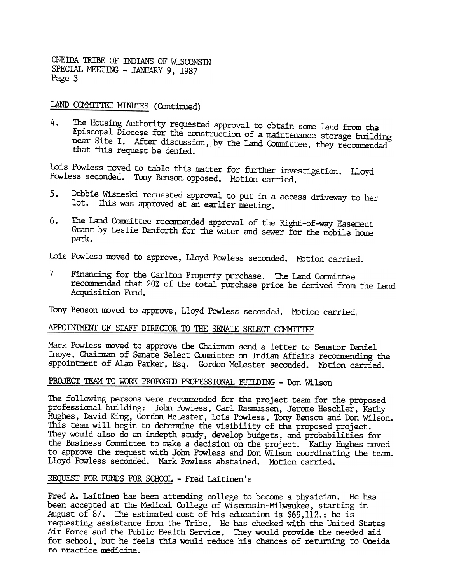ONEIDA TRIBE OF INDIANS OF WISCONSm SPECIAL MEETING - JANUARY 9, 1987 Page 3

LAND COMMITTEE MINUTES (Continued)

4. The Housing Authority requested approval to obtain sane land from the Episcopal Diocese for the construction of a maintenance storage building near Site I. After discussion, by the Land Committee, they recommended that this request be denied.

Lois Powless moved to table this matter for further investigation. Lloyd Powless seconded. Tony Benson opposed. Motion carried.

- Debbie Wisneski requested approval to put in a access driveway to her 5. lot. This was approved at an earlier meeting.
- The Land Committee recommended approval of the Right-of-way Easement<br>Grant by Leslie Danforth for the water and sewer for the mobile home park.

Lois Powless moved to approve, Lloyd Powless seconded. Motion carried.

7 Financing for the Carlton Property purchase. The Land Committee recommended that 20% of the total purchase price be derived from the Land Acquisition Fund.

Tony Benson moved to approve, Lloyd Powless seconded. Motion carried.

## APPOINIMENT OF STAFF DIRECTOR TO THE SENATE SELECT COMMITTEE

Mark Powless moved to approve the Chairman send a letter to Senator Daniel Inoye, Chairman of Senate Select Committee on Indian Affairs recommending the appointment of Alan Parker, Esq. Gordon MCLester seconded. Mbtion carried.

## PROJECT TEAM TO WORK PROPOSED PROFESSIONAL BUILDING - Don Wilson

6. The Land Committee recommended approval of the Right-of-way Easer<br>park, Crain by Leslig banforth for the water and ever for the mobile is<br>park,<br>Lois Powels are of controlled parked. Motion carries<br> $7$  Financing for the The following persons were recommended for the project team for the proposed professional building: John Powless, Carl Rasmussen, Jerome Heschler, Kathy Hughes, David King, Gordon McLester, Lois Powless, Tony Benson and Don Wilson. This team will begin to determine the visibility of the proposed project. They would also do an indepth study, develop budgets, and probabilities for the Business Committee to make a decision on the project. Kathy Hughes moved to approve the request with John Powless and Don Wilson coordinating the team. Lloyd Powless seconded. Mark Powless abstained. Motion carried.

## REQUEST FOR FUNDS FOR SCHOOL - Fred Laitinen's

Fred A. Laitinen has been attending college to become a physician. He has been accepted at the Medical College of Wisconsin-Milwaukee, starting in August of 87. The estimated cost of his education is \$69,112.; he is requesting assistance from the Tribe. He has checked with the United States Air Force and the Public Health Service. They would provide the needed aid for school, but he feels this would reduce his chances of returning to Oneida to practice medicine.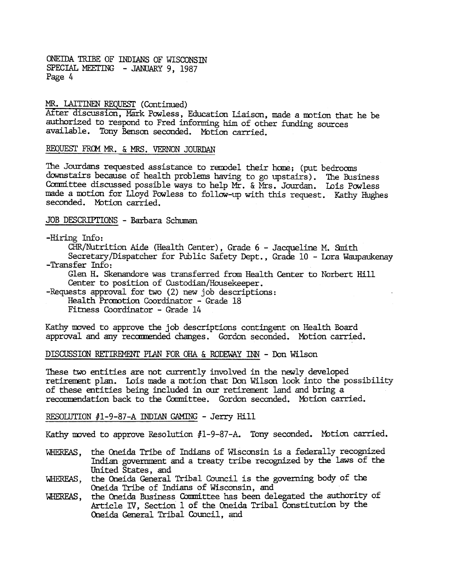ONEIDA TRIBE OF INDIANS OF WISCONSIN SPECIAL MEETING - JANUARY 9, 1987 Page 4

#### MR. LAITINEN REQUEST (Continued)

After discussion, Mark Powless, Education Liaison, made a motion that he be authorized to respond to Fred informing him of other funding sources available. Tony Benson seconded. Motion carried.

#### REQUEST FROM MR. & MRS. VERNON JOURDAN

The Jourdans requested assistance to remodel their home; (put bedrooms downstairs because of health problems having to go upstairs). The Business Committee discussed possible ways to help Mr. & Mrs. Jourdan. Lois Powless made a motion for Lloyd Powless to follow-up with this request. Kathy Hughes seconded. Motion carried.

#### JOB DESCRIPTIONS - Barbara Schuman

#### -Hiring Info:

CHR/Nutrition Aide (Health Center), Grade 6 - Jacqueline M. Smith

Secretary/Dispatcher for Public Safety Dept., Grade 10 - Lora Waupaukenay -Transfer Info:

Glen H. Skenandore was transferred from Health Center to Norbert Hill Center to position of Custodian/Housekeeper.

-Requests approval for two (2) new job descriptions:

Health Promotion Coordinator - Grade 18

Fitness Coordinator -Grade 14

Kathy moved to approve the job descriptions contingent on Health Board approval and any recommended changes. Gordon seconded. Motion carried.

#### DISCUSSION RETIREMENT PLAN FOR OHA & RODEWAY  $INN - Don Wilson$

These two entities are not currently involved in the newly developed retirement plan. Lois made a motion that Don Wilson look into the possibility of these entities being included in our retirement land and bring a recommendation back to the Committee. Gordon seconded. Motion carried.

#### RESOLUTION  $#1$ -9-87-A INDIAN GAMING - Jerry Hill

Kathy moved to approve Resolution #1-9-87-A. Tony seconded. Motion carried.

- WHEREAS, the Oneida Tribe of Indians of Wisconsin is a federally recognized Indian government and a treaty tribe recognized by the laws of the United States, and
- \.]lIEREAS, the Oneida General Tribal Council is the governing body of the Oneida Tribe of Indians of Wisconsin, and
- the Oneida Business Conmittee has been delegated the authority of Article IV, Section 1 of the Oneida Tribal Constitution by the Oneida General Tribal Council, and WHEREAS.